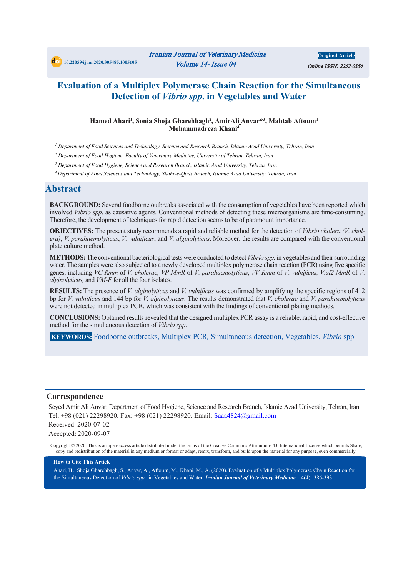# **Evaluation of a Multiplex Polymerase Chain Reaction for the Simultaneous Detection of** *Vibrio spp***. in Vegetables and Water**

#### **Hamed Ahari1 , Sonia Shoja Gharehbagh2 , AmirAli Anvar\*3 , Mahtab Aftoum1 Mohammadreza Khani4**

*1 .Department of Food Sciences and Technology, Science and Research Branch, Islamic Azad University, Tehran, Iran*

*<sup>2</sup> Department of Food Hygiene, Faculty of Veterinary Medicine, University of Tehran, Tehran, Iran* 

*<sup>3</sup> Department of Food Hygiene, Science and Research Branch, Islamic Azad University, Tehran, Iran* 

*<sup>4</sup> Department of Food Sciences and Technology, Shahr-e-Qods Branch, Islamic Azad University, Tehran, Iran*

### **Abstract**

**BACKGROUND:** Several foodborne outbreaks associated with the consumption of vegetables have been reported which involved *Vibrio spp*. as causative agents. Conventional methods of detecting these microorganisms are time-consuming. Therefore, the development of techniques for rapid detection seems to be of paramount importance.

**OBJECTIVES:** The present study recommends a rapid and reliable method for the detection of *Vibrio cholera (V. cholera)*, *V. parahaemolyticus*, *V. vulnificus*, and *V. alginolyticus*. Moreover, the results are compared with the conventional plate culture method.

**METHODS:**The conventional bacteriological tests were conducted to detect *Vibrio spp.* in vegetables and their surrounding water. The samples were also subjected to a newly developed multiplex polymerase chain reaction (PCR) using five specific genes, including *VC-Rmm* of *V. cholerae*, *VP-MmR* of *V. parahaemolyticus*, *VV-Rmm* of *V. vulnificus, V.al2-MmR* of *V. alginolyticus,* and *VM-F* for all the four isolates.

**RESULTS:** The presence of *V. alginolyticus* and *V. vulnificus* was confirmed by amplifying the specific regions of 412 bp for *V. vulnificus* and 144 bp for *V. alginolyticus*. The results demonstrated that *V. cholerae* and *V. parahaemolyticus* were not detected in multiplex PCR, which was consistent with the findings of conventional plating methods.

**CONCLUSIONS:** Obtained results revealed that the designed multiplex PCR assay is a reliable, rapid, and cost-effective method for the simultaneous detection of *Vibrio spp*.

**KEYWORDS:** Foodborne outbreaks, Multiplex PCR*,* Simultaneous detection, Vegetables, *Vibrio* spp

#### **Correspondence**

Seyed Amir Ali Anvar, Department of Food Hygiene, Science and Research Branch, Islamic Azad University, Tehran, Iran Tel: +98 (021) 22298920, Fax: +98 (021) 22298920, Email: Saaa4824@gmail.com Received: 2020-07-02 Accepted: 2020-09-07

Copyright © 2020. This is an open-access article distributed under the terms of the Creative Commons Attribution- 4.0 International License which permits Share, copy and redistribution of the material in any medium or format or adapt, remix, transform, and build upon the material for any purpose, even commercially.

#### **How to Cite This Article**

Ahari, H ., Shoja Gharehbagh, S., Anvar, A., Aftoum, M., Khani, M., A. (2020). Evaluation of a Multiplex Polymerase Chain Reaction for the Simultaneous Detection of *Vibrio spp*. in Vegetables and Water. *Iranian Journal of Veterinary Medicine,* 14(4), 386-393.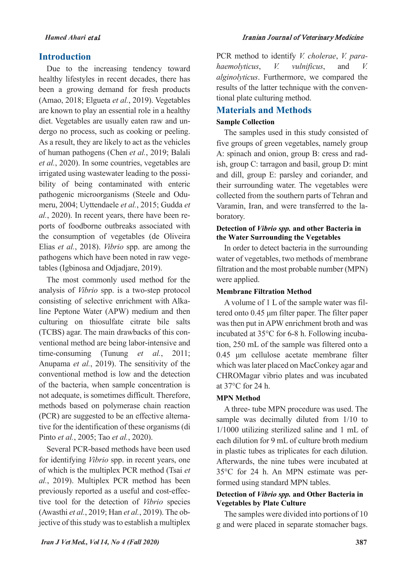### **Introduction**

Due to the increasing tendency toward healthy lifestyles in recent decades, there has been a growing demand for fresh products (Amao, 2018; Elgueta *et al.*, 2019). Vegetables are known to play an essential role in a healthy diet. Vegetables are usually eaten raw and undergo no process, such as cooking or peeling. As a result, they are likely to act as the vehicles of human pathogens (Chen *et al.*, 2019; Balali *et al.*, 2020). In some countries, vegetables are irrigated using wastewater leading to the possibility of being contaminated with enteric pathogenic microorganisms (Steele and Odumeru, 2004; Uyttendaele *et al.*, 2015; Gudda *et al.*, 2020). In recent years, there have been reports of foodborne outbreaks associated with the consumption of vegetables (de Oliveira Elias *et al.*, 2018). *Vibrio* spp. are among the pathogens which have been noted in raw vegetables (Igbinosa and Odjadjare, 2019).

The most commonly used method for the analysis of *Vibrio* spp. is a two-step protocol consisting of selective enrichment with Alkaline Peptone Water (APW) medium and then culturing on thiosulfate citrate bile salts (TCBS) agar. The main drawbacks of this conventional method are being labor-intensive and time-consuming (Tunung *et al.*, 2011; Anupama *et al.*, 2019). The sensitivity of the conventional method is low and the detection of the bacteria, when sample concentration is not adequate, is sometimes difficult. Therefore, methods based on polymerase chain reaction (PCR) are suggested to be an effective alternative for the identification of these organisms (di Pinto *et al.*, 2005; Tao *et al.*, 2020).

Several PCR-based methods have been used for identifying *Vibrio* spp. in recent years, one of which is the multiplex PCR method (Tsai *et al.*, 2019). Multiplex PCR method has been previously reported as a useful and cost-effective tool for the detection of *Vibrio* species (Awasthi *et al.*, 2019; Han *et al.*, 2019). The objective of this study was to establish a multiplex PCR method to identify *V. cholerae*, *V. parahaemolyticus*, *V. vulnificus*, and *V. alginolyticus*. Furthermore, we compared the results of the latter technique with the conventional plate culturing method.

# **Materials and Methods**

#### **Sample Collection**

The samples used in this study consisted of five groups of green vegetables, namely group A: spinach and onion, group B: cress and radish, group C: tarragon and basil, group D: mint and dill, group E: parsley and coriander, and their surrounding water. The vegetables were collected from the southern parts of Tehran and Varamin, Iran, and were transferred to the laboratory.

#### **Detection of** *Vibrio spp.* **and other Bacteria in the Water Surrounding the Vegetables**

In order to detect bacteria in the surrounding water of vegetables, two methods of membrane filtration and the most probable number (MPN) were applied.

#### **Membrane Filtration Method**

A volume of 1 L of the sample water was filtered onto 0.45 μm filter paper. The filter paper was then put in APW enrichment broth and was incubated at 35°C for 6-8 h. Following incubation, 250 mL of the sample was filtered onto a 0.45 μm cellulose acetate membrane filter which was later placed on MacConkey agar and CHROMagar vibrio plates and was incubated at 37°C for 24 h.

#### **MPN Method**

A three- tube MPN procedure was used. The sample was decimally diluted from 1/10 to 1/1000 utilizing sterilized saline and 1 mL of each dilution for 9 mL of culture broth medium in plastic tubes as triplicates for each dilution. Afterwards, the nine tubes were incubated at 35°C for 24 h. An MPN estimate was performed using standard MPN tables.

#### **Detection of** *Vibrio spp.* **and Other Bacteria in Vegetables by Plate Culture**

The samples were divided into portions of 10 g and were placed in separate stomacher bags.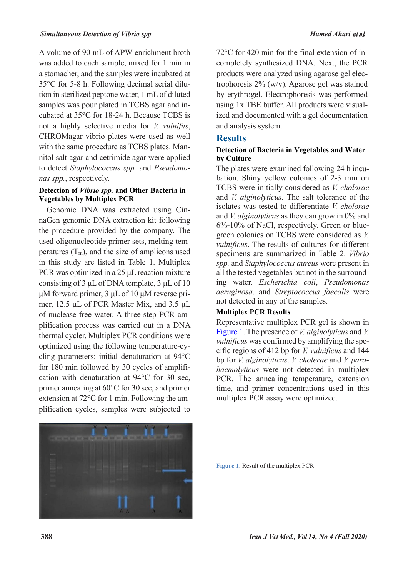A volume of 90 mL of APW enrichment broth was added to each sample, mixed for 1 min in a stomacher, and the samples were incubated at 35°C for 5-8 h. Following decimal serial dilution in sterilized peptone water, 1 mL of diluted samples was pour plated in TCBS agar and incubated at 35°C for 18-24 h. Because TCBS is not a highly selective media for *V. vulnifus*, CHROMagar vibrio plates were used as well with the same procedure as TCBS plates. Mannitol salt agar and cetrimide agar were applied to detect *Staphylococcus spp.* and *Pseudomonas spp.*, respectively.

#### **Detection of** *Vibrio spp.* **and Other Bacteria in Vegetables by Multiplex PCR**

Genomic DNA was extracted using CinnaGen genomic DNA extraction kit following the procedure provided by the company. The used oligonucleotide primer sets, melting temperatures  $(T_m)$ , and the size of amplicons used in this study are listed in Table 1. Multiplex PCR was optimized in a 25 μL reaction mixture consisting of 3 μL of DNA template, 3 μL of 10 μM forward primer, 3 μL of 10 μM reverse primer, 12.5 μL of PCR Master Mix, and 3.5 μL of nuclease-free water. A three-step PCR amplification process was carried out in a DNA thermal cycler. Multiplex PCR conditions were optimized using the following temperature-cycling parameters: initial denaturation at 94°C for 180 min followed by 30 cycles of amplification with denaturation at 94°C for 30 sec, primer annealing at 60°C for 30 sec, and primer extension at 72°C for 1 min. Following the amplification cycles, samples were subjected to 72°C for 420 min for the final extension of incompletely synthesized DNA. Next, the PCR products were analyzed using agarose gel electrophoresis 2% (w/v). Agarose gel was stained by erythrogel. Electrophoresis was performed using 1x TBE buffer. All products were visualized and documented with a gel documentation and analysis system.

# **Results**

#### **Detection of Bacteria in Vegetables and Water by Culture**

The plates were examined following 24 h incubation. Shiny yellow colonies of 2-3 mm on TCBS were initially considered as *V. cholorae* and *V. alginolyticus.* The salt tolerance of the isolates was tested to differentiate *V. cholorae* and *V. alginolyticus* as they can grow in 0% and 6%-10% of NaCl, respectively. Green or bluegreen colonies on TCBS were considered as *V. vulnificus*. The results of cultures for different specimens are summarized in Table 2. *Vibrio spp.* and *Staphylococcus aureus* were present in all the tested vegetables but not in the surrounding water. *Escherichia coli*, *Pseudomonas aeruginosa*, and *Streptococcus faecalis* were not detected in any of the samples.

#### **Multiplex PCR Results**

<span id="page-2-0"></span>Representative multiplex PCR gel is shown in [Figure 1.](#page-2-0) The presence of *V. alginolyticus* and *V. vulnificus* was confirmed by amplifying the specific regions of 412 bp for *V. vulnificus* and 144 bp for *V. alginolyticus*. *V. cholerae* and *V. parahaemolyticus* were not detected in multiplex PCR. The annealing temperature, extension time, and primer concentrations used in this multiplex PCR assay were optimized.



**Figure 1**. Result of the multiplex PCR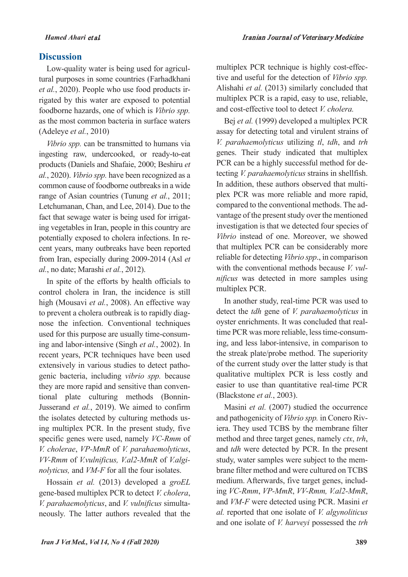# **Discussion**

Low-quality water is being used for agricultural purposes in some countries (Farhadkhani *et al.*, 2020). People who use food products irrigated by this water are exposed to potential foodborne hazards, one of which is *Vibrio spp.* as the most common bacteria in surface waters (Adeleye *et al.*, 2010)

*Vibrio spp.* can be transmitted to humans via ingesting raw, undercooked, or ready-to-eat products (Daniels and Shafaie, 2000; Beshiru *et al.*, 2020). *Vibrio spp.* have been recognized as a common cause of foodborne outbreaks in a wide range of Asian countries (Tunung *et al.*, 2011; Letchumanan, Chan, and Lee, 2014). Due to the fact that sewage water is being used for irrigating vegetables in Iran, people in this country are potentially exposed to cholera infections. In recent years, many outbreaks have been reported from Iran, especially during 2009-2014 (Asl *et al.*, no date; Marashi *et al.*, 2012).

In spite of the efforts by health officials to control cholera in Iran, the incidence is still high (Mousavi *et al.*, 2008). An effective way to prevent a cholera outbreak is to rapidly diagnose the infection. Conventional techniques used for this purpose are usually time-consuming and labor-intensive (Singh *et al.*, 2002). In recent years, PCR techniques have been used extensively in various studies to detect pathogenic bacteria, including *vibrio spp.* because they are more rapid and sensitive than conventional plate culturing methods (Bonnin-Jusserand *et al.*, 2019). We aimed to confirm the isolates detected by culturing methods using multiplex PCR. In the present study, five specific genes were used, namely *VC-Rmm* of *V. cholerae*, *VP-MmR* of *V. parahaemolyticus*, *VV-Rmm* of *V.vulnificus, V.al2-MmR* of *V.alginolyticus,* and *VM-F* for all the four isolates.

Hossain *et al.* (2013) developed a *groEL* gene-based multiplex PCR to detect *V. cholera*, *V. parahaemolyticus*, and *V. vulnificus* simultaneously. The latter authors revealed that the

multiplex PCR technique is highly cost-effective and useful for the detection of *Vibrio spp.* Alishahi *et al.* (2013) similarly concluded that multiplex PCR is a rapid, easy to use, reliable, and cost-effective tool to detect *V. cholera.*

Bej *et al.* (1999) developed a multiplex PCR assay for detecting total and virulent strains of *V. parahaemolyticus* utilizing *tl*, *tdh*, and *trh* genes. Their study indicated that multiplex PCR can be a highly successful method for detecting *V. parahaemolyticus* strains in shellfish. In addition, these authors observed that multiplex PCR was more reliable and more rapid, compared to the conventional methods. The advantage of the present study over the mentioned investigation is that we detected four species of *Vibrio* instead of one. Moreover, we showed that multiplex PCR can be considerably more reliable for detecting *Vibrio spp*., in comparison with the conventional methods because *V. vulnificus* was detected in more samples using multiplex PCR.

In another study, real-time PCR was used to detect the *tdh* gene of *V. parahaemolyticus* in oyster enrichments. It was concluded that realtime PCR was more reliable, less time-consuming, and less labor-intensive, in comparison to the streak plate/probe method. The superiority of the current study over the latter study is that qualitative multiplex PCR is less costly and easier to use than quantitative real-time PCR (Blackstone *et al.*, 2003).

Masini *et al.* (2007) studied the occurrence and pathogenicity of *Vibrio spp.* in Conero Riviera. They used TCBS by the membrane filter method and three target genes, namely *ctx*, *trh*, and *tdh* were detected by PCR. In the present study, water samples were subject to the membrane filter method and were cultured on TCBS medium. Afterwards, five target genes, including *VC-Rmm*, *VP-MmR*, *VV-Rmm, V.al2-MmR*, and *VM-F* were detected using PCR. Masini *et al.* reported that one isolate of *V. algynoliticus* and one isolate of *V. harveyi* possessed the *trh*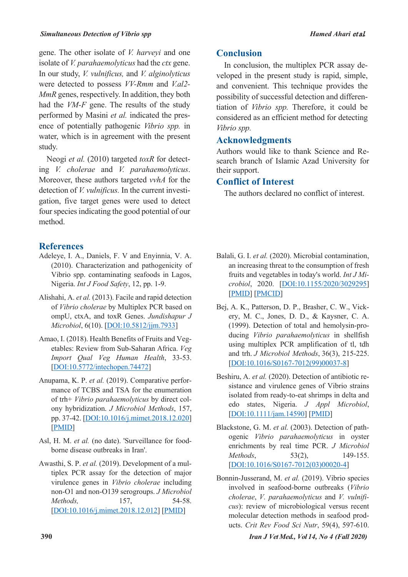gene. The other isolate of *V. harveyi* and one isolate of *V. parahaemolyticus* had the *ctx* gene. In our study, *V. vulnificus,* and *V. alginolyticus*  were detected to possess *VV-Rmm* and *V.al2- MmR* genes, respectively. In addition, they both had the *VM-F* gene. The results of the study performed by Masini *et al.* indicated the presence of potentially pathogenic *Vibrio spp.* in water, which is in agreement with the present study.

Neogi *et al.* (2010) targeted *toxR* for detecting *V. cholerae* and *V. parahaemolyticus*. Moreover, these authors targeted *vvhA* for the detection of *V. vulnificus.* In the current investigation, five target genes were used to detect four species indicating the good potential of our method.

# **References**

- Adeleye, I. A., Daniels, F. V and Enyinnia, V. A. (2010). Characterization and pathogenicity of Vibrio spp. contaminating seafoods in Lagos, Nigeria. *Int J Food Safety*, 12, pp. 1-9.
- Alishahi, A. *et al.* (2013). Facile and rapid detection of *Vibrio cholerae* by Multiplex PCR based on ompU, ctxA, and toxR Genes. *Jundishapur J Microbiol*, 6(10). [DOI:10.5812/jjm.7933]
- Amao, I. (2018). Health Benefits of Fruits and Vegetables: Review from Sub-Saharan Africa. *Veg Import Qual Veg Human Health*, 33-53. [DOI:10.5772/intechopen.74472]
- Anupama, K. P. *et al.* (2019). Comparative performance of TCBS and TSA for the enumeration of trh+ *Vibrio parahaemolyticus* by direct colony hybridization. *J Microbiol Methods*, 157, pp. 37-42. [DOI:10.1016/j.mimet.2018.12.020] [PMID]
- Asl, H. M. *et al.* (no date). 'Surveillance for foodborne disease outbreaks in Iran'.
- Awasthi, S. P. *et al.* (2019). Development of a multiplex PCR assay for the detection of major virulence genes in *Vibrio cholerae* including non-O1 and non-O139 serogroups. *J Microbiol Methods,* 157, 54-58. [DOI:10.1016/j.mimet.2018.12.012] [PMID]

# **Conclusion**

In conclusion, the multiplex PCR assay developed in the present study is rapid, simple, and convenient. This technique provides the possibility of successful detection and differentiation of *Vibrio spp.* Therefore, it could be considered as an efficient method for detecting *Vibrio spp.*

# **Acknowledgments**

Authors would like to thank Science and Research branch of Islamic Azad University for their support.

# **Conflict of Interest**

The authors declared no conflict of interest.

- Balali, G. I. *et al.* (2020). Microbial contamination, an increasing threat to the consumption of fresh fruits and vegetables in today's world. *Int J Microbiol*, 2020. [DOI:10.1155/2020/3029295] [PMID] [PMCID]
- Bej, A. K., Patterson, D. P., Brasher, C. W., Vickery, M. C., Jones, D. D., & Kaysner, C. A. (1999). Detection of total and hemolysin-producing *Vibrio parahaemolyticus* in shellfish using multiplex PCR amplification of tl, tdh and trh. *J Microbiol Methods*, 36(3), 215-225. [DOI:10.1016/S0167-7012(99)00037-8]
- Beshiru, A. *et al.* (2020). Detection of antibiotic resistance and virulence genes of Vibrio strains isolated from ready‐to‐eat shrimps in delta and edo states, Nigeria. *J Appl Microbiol*, [DOI:10.1111/jam.14590] [PMID]
- Blackstone, G. M. *et al.* (2003). Detection of pathogenic *Vibrio parahaemolyticus* in oyster enrichments by real time PCR. *J Microbiol Methods*, 53(2), 149-155. [DOI:10.1016/S0167-7012(03)00020-4]
- Bonnin-Jusserand, M. *et al.* (2019). Vibrio species involved in seafood-borne outbreaks (*Vibrio cholerae*, *V. parahaemolyticus* and *V. vulnificus*): review of microbiological versus recent molecular detection methods in seafood products. *Crit Rev Food Sci Nutr*, 59(4), 597-610.

**390** *Iran J Vet Med., Vol 14, No 4 (Fall 2020)*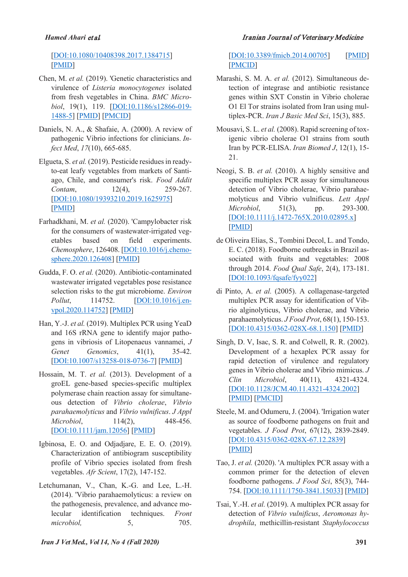#### *Hamed Ahari* et al*.* Iranian Journal of Veterinary Medicine

[DOI:10.1080/10408398.2017.1384715] [PMID]

- Chen, M. *et al.* (2019). 'Genetic characteristics and virulence of *Listeria monocytogenes* isolated from fresh vegetables in China. *BMC Microbiol*, 19(1), 119. [DOI:10.1186/s12866-019- 1488-5] [PMID] [PMCID]
- Daniels, N. A., & Shafaie, A. (2000). A review of pathogenic Vibrio infections for clinicians. *Infect Med*, *17*(10), 665-685.
- Elgueta, S. *et al.* (2019). Pesticide residues in readyto-eat leafy vegetables from markets of Santiago, Chile, and consumer's risk. *Food Addit Contam*, 12(4), 259-267. [DOI:10.1080/19393210.2019.1625975] [PMID]
- Farhadkhani, M. *et al.* (2020). 'Campylobacter risk for the consumers of wastewater-irrigated vegetables based on field experiments. *Chemosphere*, 126408. [DOI:10.1016/j.chemosphere.2020.126408] [PMID]
- Gudda, F. O. *et al.* (2020). Antibiotic-contaminated wastewater irrigated vegetables pose resistance selection risks to the gut microbiome. *Environ Pollut*, 114752. **[DOI:10.1016/j.en**vpol.2020.114752] [PMID]
- Han, Y.-J. *et al.* (2019). Multiplex PCR using YeaD and 16S rRNA gene to identify major pathogens in vibriosis of Litopenaeus vannamei, *J Genet Genomics*, 41(1), 35-42. [DOI:10.1007/s13258-018-0736-7] [PMID]
- Hossain, M. T. *et al.* (2013). Development of a groEL gene-based species‐specific multiplex polymerase chain reaction assay for simultaneous detection of *Vibrio cholerae*, *Vibrio parahaemolyticus* and *Vibrio vulnificus*. *J Appl Microbiol*, 114(2), 448-456. [DOI:10.1111/jam.12056] [PMID]
- Igbinosa, E. O. and Odjadjare, E. E. O. (2019). Characterization of antibiogram susceptibility profile of Vibrio species isolated from fresh vegetables. *Afr Scient*, 17(2), 147-152.
- Letchumanan, V., Chan, K.-G. and Lee, L.-H. (2014). 'Vibrio parahaemolyticus: a review on the pathogenesis, prevalence, and advance molecular identification techniques. *Front microbiol,* 5, 705.

[DOI:10.3389/fmicb.2014.00705] [PMID] [PMCID]

- Marashi, S. M. A. *et al.* (2012). Simultaneous detection of integrase and antibiotic resistance genes within SXT Constin in Vibrio cholerae O1 El Tor strains isolated from Iran using multiplex-PCR. *Iran J Basic Med Sci*, 15(3), 885.
- Mousavi, S. L. *et al.* (2008). Rapid screening of toxigenic vibrio cholerae O1 strains from south Iran by PCR-ELISA. *Iran Biomed J*, 12(1), 15- 21.
- Neogi, S. B. *et al.* (2010). A highly sensitive and specific multiplex PCR assay for simultaneous detection of Vibrio cholerae, Vibrio parahaemolyticus and Vibrio vulnificus. *Lett Appl Microbiol*, 51(3), pp. 293-300. [DOI:10.1111/j.1472-765X.2010.02895.x] [PMID]
- de Oliveira Elias, S., Tombini Decol, L. and Tondo, E. C. (2018). Foodborne outbreaks in Brazil associated with fruits and vegetables: 2008 through 2014. *Food Qual Safe*, 2(4), 173-181. [DOI:10.1093/fqsafe/fyy022]
- di Pinto, A. *et al.* (2005). A collagenase-targeted multiplex PCR assay for identification of Vibrio alginolyticus, Vibrio cholerae, and Vibrio parahaemolyticus. *J Food Prot*, 68(1), 150-153. [DOI:10.4315/0362-028X-68.1.150] [PMID]
- Singh, D. V, Isac, S. R. and Colwell, R. R. (2002). Development of a hexaplex PCR assay for rapid detection of virulence and regulatory genes in Vibrio cholerae and Vibrio mimicus. *J Clin Microbiol*, 40(11), 4321-4324. [DOI:10.1128/JCM.40.11.4321-4324.2002] [PMID] [PMCID]
- Steele, M. and Odumeru, J. (2004). 'Irrigation water as source of foodborne pathogens on fruit and vegetables. *J Food Prot*, 67(12), 2839-2849. [DOI:10.4315/0362-028X-67.12.2839] [PMID]
- Tao, J. *et al.* (2020). 'A multiplex PCR assay with a common primer for the detection of eleven foodborne pathogens. *J Food Sci*, 85(3), 744- 754. [DOI:10.1111/1750-3841.15033] [PMID]
- Tsai, Y.-H. *et al.* (2019). A multiplex PCR assay for detection of *Vibrio vulnificus*, *Aeromonas hydrophila*, methicillin-resistant *Staphylococcus*

#### *Iran J Vet Med., Vol 14, No 4 (Fall 2020)* **391**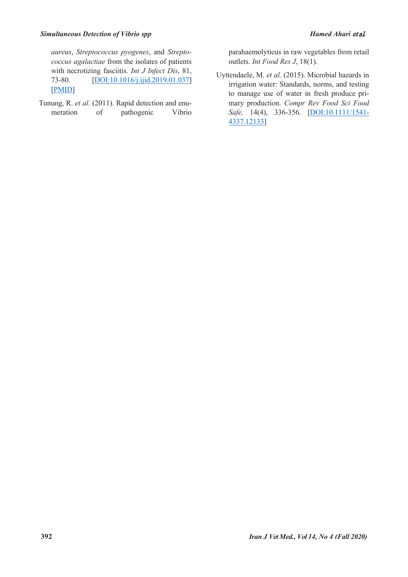*aureus*, *Streptococcus pyogenes*, and *Streptococcus agalactiae* from the isolates of patients with necrotizing fasciitis. *Int J Infect Dis*, 81, 73-80. [DOI:10.1016/j.ijid.2019.01.037] [PMID]

Tunung, R. *et al.* (2011). Rapid detection and enumeration of pathogenic Vibrio

parahaemolyticus in raw vegetables from retail outlets. *Int Food Res J*, 18(1).

Uyttendaele, M. *et al.* (2015). Microbial hazards in irrigation water: Standards, norms, and testing to manage use of water in fresh produce primary production. *Compr Rev Food Sci Food Safe,* 14(4), 336-356. [DOI:10.1111/1541- 4337.12133]